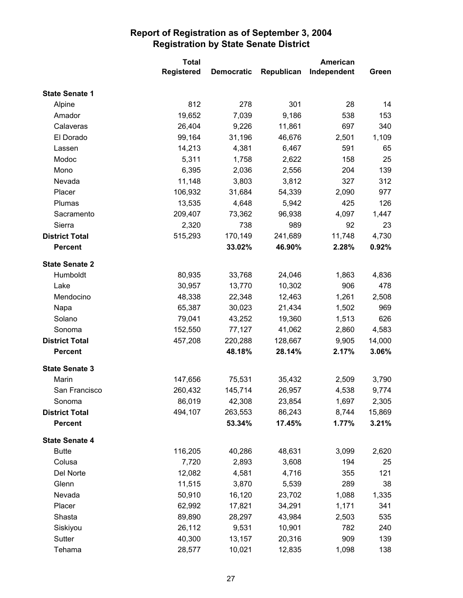|                       | <b>Total</b>      |                   | American   |             |        |
|-----------------------|-------------------|-------------------|------------|-------------|--------|
|                       | <b>Registered</b> | <b>Democratic</b> | Republican | Independent | Green  |
| <b>State Senate 1</b> |                   |                   |            |             |        |
| Alpine                | 812               | 278               | 301        | 28          | 14     |
| Amador                | 19,652            | 7,039             | 9,186      | 538         | 153    |
| Calaveras             | 26,404            | 9,226             | 11,861     | 697         | 340    |
| El Dorado             | 99,164            | 31,196            | 46,676     | 2,501       | 1,109  |
| Lassen                | 14,213            | 4,381             | 6,467      | 591         | 65     |
| Modoc                 | 5,311             | 1,758             | 2,622      | 158         | 25     |
| Mono                  | 6,395             | 2,036             | 2,556      | 204         | 139    |
| Nevada                | 11,148            | 3,803             | 3,812      | 327         | 312    |
| Placer                | 106,932           | 31,684            | 54,339     | 2,090       | 977    |
| Plumas                | 13,535            | 4,648             | 5,942      | 425         | 126    |
| Sacramento            | 209,407           | 73,362            | 96,938     | 4,097       | 1,447  |
| Sierra                | 2,320             | 738               | 989        | 92          | 23     |
| <b>District Total</b> | 515,293           | 170,149           | 241,689    | 11,748      | 4,730  |
| <b>Percent</b>        |                   | 33.02%            | 46.90%     | 2.28%       | 0.92%  |
| <b>State Senate 2</b> |                   |                   |            |             |        |
| Humboldt              | 80,935            | 33,768            | 24,046     | 1,863       | 4,836  |
| Lake                  | 30,957            | 13,770            | 10,302     | 906         | 478    |
| Mendocino             | 48,338            | 22,348            | 12,463     | 1,261       | 2,508  |
| Napa                  | 65,387            | 30,023            | 21,434     | 1,502       | 969    |
| Solano                | 79,041            | 43,252            | 19,360     | 1,513       | 626    |
| Sonoma                | 152,550           | 77,127            | 41,062     | 2,860       | 4,583  |
| <b>District Total</b> | 457,208           | 220,288           | 128,667    | 9,905       | 14,000 |
| <b>Percent</b>        |                   | 48.18%            | 28.14%     | 2.17%       | 3.06%  |
| <b>State Senate 3</b> |                   |                   |            |             |        |
| Marin                 | 147,656           | 75,531            | 35,432     | 2,509       | 3,790  |
| San Francisco         | 260,432           | 145,714           | 26,957     | 4,538       | 9,774  |
| Sonoma                | 86,019            | 42,308            | 23,854     | 1,697       | 2,305  |
| <b>District Total</b> | 494,107           | 263,553           | 86,243     | 8,744       | 15,869 |
| <b>Percent</b>        |                   | 53.34%            | 17.45%     | 1.77%       | 3.21%  |
| <b>State Senate 4</b> |                   |                   |            |             |        |
| <b>Butte</b>          | 116,205           | 40,286            | 48,631     | 3,099       | 2,620  |
| Colusa                | 7,720             | 2,893             | 3,608      | 194         | 25     |
| Del Norte             | 12,082            | 4,581             | 4,716      | 355         | 121    |
| Glenn                 | 11,515            | 3,870             | 5,539      | 289         | 38     |
| Nevada                | 50,910            | 16,120            | 23,702     | 1,088       | 1,335  |
| Placer                | 62,992            | 17,821            | 34,291     | 1,171       | 341    |
| Shasta                | 89,890            | 28,297            | 43,984     | 2,503       | 535    |
| Siskiyou              | 26,112            | 9,531             | 10,901     | 782         | 240    |
| Sutter                | 40,300            | 13,157            | 20,316     | 909         | 139    |
| Tehama                | 28,577            | 10,021            | 12,835     | 1,098       | 138    |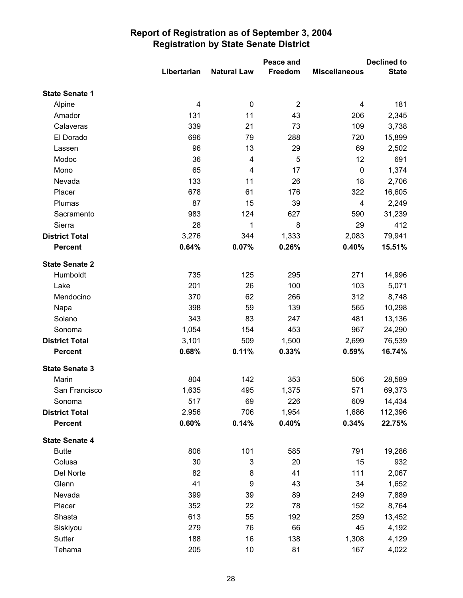|                       |             |                    | Peace and      |                      | <b>Declined to</b> |  |
|-----------------------|-------------|--------------------|----------------|----------------------|--------------------|--|
|                       | Libertarian | <b>Natural Law</b> | <b>Freedom</b> | <b>Miscellaneous</b> | <b>State</b>       |  |
| <b>State Senate 1</b> |             |                    |                |                      |                    |  |
| Alpine                | 4           | $\mathbf 0$        | $\overline{2}$ | 4                    | 181                |  |
| Amador                | 131         | 11                 | 43             | 206                  | 2,345              |  |
| Calaveras             | 339         | 21                 | 73             | 109                  | 3,738              |  |
| El Dorado             | 696         | 79                 | 288            | 720                  | 15,899             |  |
| Lassen                | 96          | 13                 | 29             | 69                   | 2,502              |  |
| Modoc                 | 36          | 4                  | 5              | 12                   | 691                |  |
| Mono                  | 65          | $\overline{4}$     | 17             | $\mathbf 0$          | 1,374              |  |
| Nevada                | 133         | 11                 | 26             | 18                   | 2,706              |  |
| Placer                | 678         | 61                 | 176            | 322                  | 16,605             |  |
| Plumas                | 87          | 15                 | 39             | 4                    | 2,249              |  |
| Sacramento            | 983         | 124                | 627            | 590                  | 31,239             |  |
| Sierra                | 28          | 1                  | 8              | 29                   | 412                |  |
| <b>District Total</b> | 3,276       | 344                | 1,333          | 2,083                | 79,941             |  |
| <b>Percent</b>        | 0.64%       | 0.07%              | 0.26%          | 0.40%                | 15.51%             |  |
| <b>State Senate 2</b> |             |                    |                |                      |                    |  |
| Humboldt              | 735         | 125                | 295            | 271                  | 14,996             |  |
| Lake                  | 201         | 26                 | 100            | 103                  | 5,071              |  |
| Mendocino             | 370         | 62                 | 266            | 312                  | 8,748              |  |
| Napa                  | 398         | 59                 | 139            | 565                  | 10,298             |  |
| Solano                | 343         | 83                 | 247            | 481                  | 13,136             |  |
| Sonoma                | 1,054       | 154                | 453            | 967                  | 24,290             |  |
| <b>District Total</b> | 3,101       | 509                | 1,500          | 2,699                | 76,539             |  |
| <b>Percent</b>        | 0.68%       | 0.11%              | 0.33%          | 0.59%                | 16.74%             |  |
| <b>State Senate 3</b> |             |                    |                |                      |                    |  |
| Marin                 | 804         | 142                | 353            | 506                  | 28,589             |  |
| San Francisco         | 1,635       | 495                | 1,375          | 571                  | 69,373             |  |
| Sonoma                | 517         | 69                 | 226            | 609                  | 14,434             |  |
| <b>District Total</b> | 2,956       | 706                | 1,954          | 1,686                | 112,396            |  |
| <b>Percent</b>        | 0.60%       | 0.14%              | 0.40%          | 0.34%                | 22.75%             |  |
| <b>State Senate 4</b> |             |                    |                |                      |                    |  |
| <b>Butte</b>          | 806         | 101                | 585            | 791                  | 19,286             |  |
| Colusa                | 30          | 3                  | 20             | 15                   | 932                |  |
| Del Norte             | 82          | 8                  | 41             | 111                  | 2,067              |  |
| Glenn                 | 41          | 9                  | 43             | 34                   | 1,652              |  |
| Nevada                | 399         | 39                 | 89             | 249                  | 7,889              |  |
| Placer                | 352         | 22                 | 78             | 152                  | 8,764              |  |
| Shasta                | 613         | 55                 | 192            | 259                  | 13,452             |  |
| Siskiyou              | 279         | 76                 | 66             | 45                   | 4,192              |  |
| Sutter                | 188         | 16                 | 138            | 1,308                | 4,129              |  |
| Tehama                | 205         | 10                 | 81             | 167                  | 4,022              |  |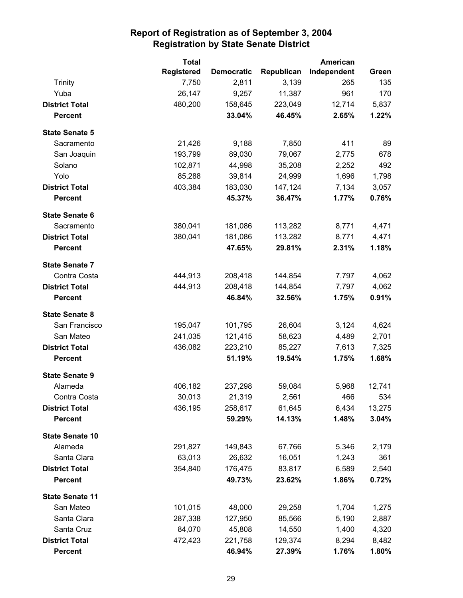|                        | <b>Total</b>      |                   |            | <b>American</b> |        |  |
|------------------------|-------------------|-------------------|------------|-----------------|--------|--|
|                        | <b>Registered</b> | <b>Democratic</b> | Republican | Independent     | Green  |  |
| <b>Trinity</b>         | 7,750             | 2,811             | 3,139      | 265             | 135    |  |
| Yuba                   | 26,147            | 9,257             | 11,387     | 961             | 170    |  |
| <b>District Total</b>  | 480,200           | 158,645           | 223,049    | 12,714          | 5,837  |  |
| <b>Percent</b>         |                   | 33.04%            | 46.45%     | 2.65%           | 1.22%  |  |
| <b>State Senate 5</b>  |                   |                   |            |                 |        |  |
| Sacramento             | 21,426            | 9,188             | 7,850      | 411             | 89     |  |
| San Joaquin            | 193,799           | 89,030            | 79,067     | 2,775           | 678    |  |
| Solano                 | 102,871           | 44,998            | 35,208     | 2,252           | 492    |  |
| Yolo                   | 85,288            | 39,814            | 24,999     | 1,696           | 1,798  |  |
| <b>District Total</b>  | 403,384           | 183,030           | 147,124    | 7,134           | 3,057  |  |
| <b>Percent</b>         |                   | 45.37%            | 36.47%     | 1.77%           | 0.76%  |  |
| <b>State Senate 6</b>  |                   |                   |            |                 |        |  |
| Sacramento             | 380,041           | 181,086           | 113,282    | 8,771           | 4,471  |  |
| <b>District Total</b>  | 380,041           | 181,086           | 113,282    | 8,771           | 4,471  |  |
| <b>Percent</b>         |                   | 47.65%            | 29.81%     | 2.31%           | 1.18%  |  |
| <b>State Senate 7</b>  |                   |                   |            |                 |        |  |
| Contra Costa           | 444,913           | 208,418           | 144,854    | 7,797           | 4,062  |  |
| <b>District Total</b>  | 444,913           | 208,418           | 144,854    | 7,797           | 4,062  |  |
| <b>Percent</b>         |                   | 46.84%            | 32.56%     | 1.75%           | 0.91%  |  |
| <b>State Senate 8</b>  |                   |                   |            |                 |        |  |
| San Francisco          | 195,047           | 101,795           | 26,604     | 3,124           | 4,624  |  |
| San Mateo              | 241,035           | 121,415           | 58,623     | 4,489           | 2,701  |  |
| <b>District Total</b>  | 436,082           | 223,210           | 85,227     | 7,613           | 7,325  |  |
| <b>Percent</b>         |                   | 51.19%            | 19.54%     | 1.75%           | 1.68%  |  |
| <b>State Senate 9</b>  |                   |                   |            |                 |        |  |
| Alameda                | 406,182           | 237,298           | 59,084     | 5,968           | 12,741 |  |
| Contra Costa           | 30,013            | 21,319            | 2,561      | 466             | 534    |  |
| <b>District Total</b>  | 436,195           | 258,617           | 61,645     | 6,434           | 13,275 |  |
| <b>Percent</b>         |                   | 59.29%            | 14.13%     | 1.48%           | 3.04%  |  |
| <b>State Senate 10</b> |                   |                   |            |                 |        |  |
| Alameda                | 291,827           | 149,843           | 67,766     | 5,346           | 2,179  |  |
| Santa Clara            | 63,013            | 26,632            | 16,051     | 1,243           | 361    |  |
| <b>District Total</b>  | 354,840           | 176,475           | 83,817     | 6,589           | 2,540  |  |
| <b>Percent</b>         |                   | 49.73%            | 23.62%     | 1.86%           | 0.72%  |  |
| <b>State Senate 11</b> |                   |                   |            |                 |        |  |
| San Mateo              | 101,015           | 48,000            | 29,258     | 1,704           | 1,275  |  |
| Santa Clara            | 287,338           | 127,950           | 85,566     | 5,190           | 2,887  |  |
| Santa Cruz             | 84,070            | 45,808            | 14,550     | 1,400           | 4,320  |  |
| <b>District Total</b>  | 472,423           | 221,758           | 129,374    | 8,294           | 8,482  |  |
| <b>Percent</b>         |                   | 46.94%            | 27.39%     | 1.76%           | 1.80%  |  |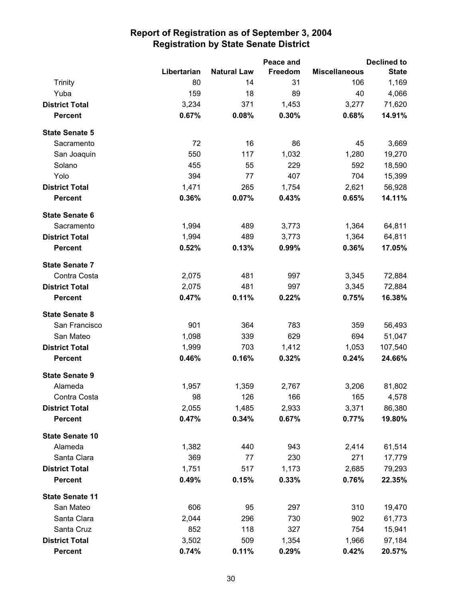|                        |             |                    | Peace and |                      | <b>Declined to</b> |
|------------------------|-------------|--------------------|-----------|----------------------|--------------------|
|                        | Libertarian | <b>Natural Law</b> | Freedom   | <b>Miscellaneous</b> | <b>State</b>       |
| <b>Trinity</b>         | 80          | 14                 | 31        | 106                  | 1,169              |
| Yuba                   | 159         | 18                 | 89        | 40                   | 4,066              |
| <b>District Total</b>  | 3,234       | 371                | 1,453     | 3,277                | 71,620             |
| <b>Percent</b>         | 0.67%       | 0.08%              | 0.30%     | 0.68%                | 14.91%             |
| <b>State Senate 5</b>  |             |                    |           |                      |                    |
| Sacramento             | 72          | 16                 | 86        | 45                   | 3,669              |
| San Joaquin            | 550         | 117                | 1,032     | 1,280                | 19,270             |
| Solano                 | 455         | 55                 | 229       | 592                  | 18,590             |
| Yolo                   | 394         | 77                 | 407       | 704                  | 15,399             |
| <b>District Total</b>  | 1,471       | 265                | 1,754     | 2,621                | 56,928             |
| <b>Percent</b>         | 0.36%       | 0.07%              | 0.43%     | 0.65%                | 14.11%             |
| <b>State Senate 6</b>  |             |                    |           |                      |                    |
| Sacramento             | 1,994       | 489                | 3,773     | 1,364                | 64,811             |
| <b>District Total</b>  | 1,994       | 489                | 3,773     | 1,364                | 64,811             |
| <b>Percent</b>         | 0.52%       | 0.13%              | 0.99%     | 0.36%                | 17.05%             |
| <b>State Senate 7</b>  |             |                    |           |                      |                    |
| Contra Costa           | 2,075       | 481                | 997       | 3,345                | 72,884             |
| <b>District Total</b>  | 2,075       | 481                | 997       | 3,345                | 72,884             |
| <b>Percent</b>         | 0.47%       | 0.11%              | 0.22%     | 0.75%                | 16.38%             |
| <b>State Senate 8</b>  |             |                    |           |                      |                    |
| San Francisco          | 901         | 364                | 783       | 359                  | 56,493             |
| San Mateo              | 1,098       | 339                | 629       | 694                  | 51,047             |
| <b>District Total</b>  | 1,999       | 703                | 1,412     | 1,053                | 107,540            |
| <b>Percent</b>         | 0.46%       | 0.16%              | 0.32%     | 0.24%                | 24.66%             |
| <b>State Senate 9</b>  |             |                    |           |                      |                    |
| Alameda                | 1,957       | 1,359              | 2,767     | 3,206                | 81,802             |
| Contra Costa           | 98          | 126                | 166       | 165                  | 4,578              |
| <b>District Total</b>  | 2,055       | 1,485              | 2,933     | 3,371                | 86,380             |
| <b>Percent</b>         | 0.47%       | 0.34%              | 0.67%     | 0.77%                | 19.80%             |
| <b>State Senate 10</b> |             |                    |           |                      |                    |
| Alameda                | 1,382       | 440                | 943       | 2,414                | 61,514             |
| Santa Clara            | 369         | 77                 | 230       | 271                  | 17,779             |
| <b>District Total</b>  | 1,751       | 517                | 1,173     | 2,685                | 79,293             |
| <b>Percent</b>         | 0.49%       | 0.15%              | 0.33%     | 0.76%                | 22.35%             |
| <b>State Senate 11</b> |             |                    |           |                      |                    |
| San Mateo              | 606         | 95                 | 297       | 310                  | 19,470             |
| Santa Clara            | 2,044       | 296                | 730       | 902                  | 61,773             |
| Santa Cruz             | 852         | 118                | 327       | 754                  | 15,941             |
| <b>District Total</b>  | 3,502       | 509                | 1,354     | 1,966                | 97,184             |
| <b>Percent</b>         | 0.74%       | 0.11%              | 0.29%     | 0.42%                | 20.57%             |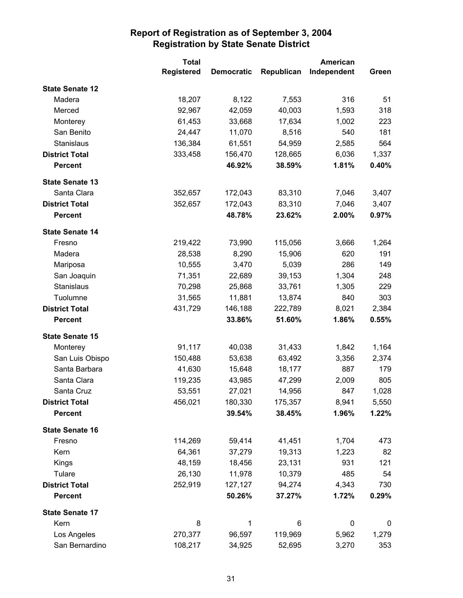|                        | <b>Total</b>      |                   | <b>American</b> |             |       |
|------------------------|-------------------|-------------------|-----------------|-------------|-------|
|                        | <b>Registered</b> | <b>Democratic</b> | Republican      | Independent | Green |
| <b>State Senate 12</b> |                   |                   |                 |             |       |
| Madera                 | 18,207            | 8,122             | 7,553           | 316         | 51    |
| Merced                 | 92,967            | 42,059            | 40,003          | 1,593       | 318   |
| Monterey               | 61,453            | 33,668            | 17,634          | 1,002       | 223   |
| San Benito             | 24,447            | 11,070            | 8,516           | 540         | 181   |
| Stanislaus             | 136,384           | 61,551            | 54,959          | 2,585       | 564   |
| <b>District Total</b>  | 333,458           | 156,470           | 128,665         | 6,036       | 1,337 |
| <b>Percent</b>         |                   | 46.92%            | 38.59%          | 1.81%       | 0.40% |
| <b>State Senate 13</b> |                   |                   |                 |             |       |
| Santa Clara            | 352,657           | 172,043           | 83,310          | 7,046       | 3,407 |
| <b>District Total</b>  | 352,657           | 172,043           | 83,310          | 7,046       | 3,407 |
| <b>Percent</b>         |                   | 48.78%            | 23.62%          | 2.00%       | 0.97% |
| <b>State Senate 14</b> |                   |                   |                 |             |       |
| Fresno                 | 219,422           | 73,990            | 115,056         | 3,666       | 1,264 |
| Madera                 | 28,538            | 8,290             | 15,906          | 620         | 191   |
| Mariposa               | 10,555            | 3,470             | 5,039           | 286         | 149   |
| San Joaquin            | 71,351            | 22,689            | 39,153          | 1,304       | 248   |
| Stanislaus             | 70,298            | 25,868            | 33,761          | 1,305       | 229   |
| Tuolumne               | 31,565            | 11,881            | 13,874          | 840         | 303   |
| <b>District Total</b>  | 431,729           | 146,188           | 222,789         | 8,021       | 2,384 |
| <b>Percent</b>         |                   | 33.86%            | 51.60%          | 1.86%       | 0.55% |
|                        |                   |                   |                 |             |       |
| <b>State Senate 15</b> |                   |                   |                 |             |       |
| Monterey               | 91,117            | 40,038            | 31,433          | 1,842       | 1,164 |
| San Luis Obispo        | 150,488           | 53,638            | 63,492          | 3,356       | 2,374 |
| Santa Barbara          | 41,630            | 15,648            | 18,177          | 887         | 179   |
| Santa Clara            | 119,235           | 43,985            | 47,299          | 2,009       | 805   |
| Santa Cruz             | 53,551            | 27,021            | 14,956          | 847         | 1,028 |
| <b>District Total</b>  | 456,021           | 180,330           | 175,357         | 8,941       | 5,550 |
| <b>Percent</b>         |                   | 39.54%            | 38.45%          | 1.96%       | 1.22% |
| <b>State Senate 16</b> |                   |                   |                 |             |       |
| Fresno                 | 114,269           | 59,414            | 41,451          | 1,704       | 473   |
| Kern                   | 64,361            | 37,279            | 19,313          | 1,223       | 82    |
| Kings                  | 48,159            | 18,456            | 23,131          | 931         | 121   |
| Tulare                 | 26,130            | 11,978            | 10,379          | 485         | 54    |
| <b>District Total</b>  | 252,919           | 127,127           | 94,274          | 4,343       | 730   |
| <b>Percent</b>         |                   | 50.26%            | 37.27%          | 1.72%       | 0.29% |
| <b>State Senate 17</b> |                   |                   |                 |             |       |
| Kern                   | 8                 | $\mathbf 1$       | 6               | $\pmb{0}$   | 0     |
| Los Angeles            | 270,377           | 96,597            | 119,969         | 5,962       | 1,279 |
| San Bernardino         | 108,217           | 34,925            | 52,695          | 3,270       | 353   |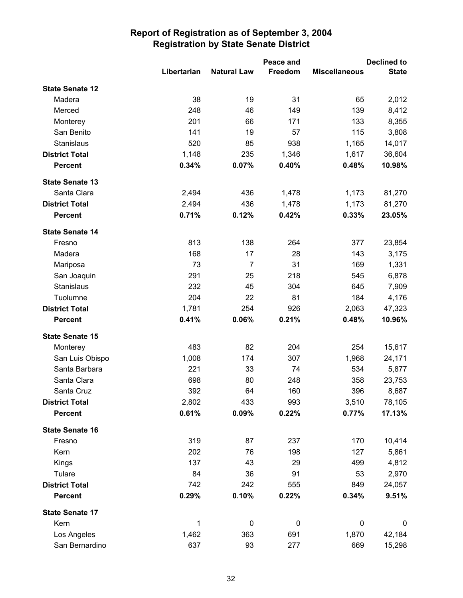|                        |             |                    | Peace and |                      | <b>Declined to</b> |
|------------------------|-------------|--------------------|-----------|----------------------|--------------------|
|                        | Libertarian | <b>Natural Law</b> | Freedom   | <b>Miscellaneous</b> | <b>State</b>       |
| <b>State Senate 12</b> |             |                    |           |                      |                    |
| Madera                 | 38          | 19                 | 31        | 65                   | 2,012              |
| Merced                 | 248         | 46                 | 149       | 139                  | 8,412              |
| Monterey               | 201         | 66                 | 171       | 133                  | 8,355              |
| San Benito             | 141         | 19                 | 57        | 115                  | 3,808              |
| Stanislaus             | 520         | 85                 | 938       | 1,165                | 14,017             |
| <b>District Total</b>  | 1,148       | 235                | 1,346     | 1,617                | 36,604             |
| <b>Percent</b>         | 0.34%       | 0.07%              | 0.40%     | 0.48%                | 10.98%             |
| <b>State Senate 13</b> |             |                    |           |                      |                    |
| Santa Clara            | 2,494       | 436                | 1,478     | 1,173                | 81,270             |
| <b>District Total</b>  | 2,494       | 436                | 1,478     | 1,173                | 81,270             |
| <b>Percent</b>         | 0.71%       | 0.12%              | 0.42%     | 0.33%                | 23.05%             |
| <b>State Senate 14</b> |             |                    |           |                      |                    |
| Fresno                 | 813         | 138                | 264       | 377                  | 23,854             |
| Madera                 | 168         | 17                 | 28        | 143                  | 3,175              |
| Mariposa               | 73          | $\overline{7}$     | 31        | 169                  | 1,331              |
| San Joaquin            | 291         | 25                 | 218       | 545                  | 6,878              |
| Stanislaus             | 232         | 45                 | 304       | 645                  | 7,909              |
| Tuolumne               | 204         | 22                 | 81        | 184                  | 4,176              |
| <b>District Total</b>  | 1,781       | 254                | 926       | 2,063                | 47,323             |
| <b>Percent</b>         | 0.41%       | 0.06%              | 0.21%     | 0.48%                | 10.96%             |
| <b>State Senate 15</b> |             |                    |           |                      |                    |
| Monterey               | 483         | 82                 | 204       | 254                  | 15,617             |
| San Luis Obispo        | 1,008       | 174                | 307       | 1,968                | 24,171             |
| Santa Barbara          | 221         | 33                 | 74        | 534                  | 5,877              |
| Santa Clara            | 698         | 80                 | 248       | 358                  | 23,753             |
| Santa Cruz             | 392         | 64                 | 160       | 396                  | 8,687              |
| <b>District Total</b>  | 2,802       | 433                | 993       | 3,510                | 78,105             |
| <b>Percent</b>         | 0.61%       | 0.09%              | 0.22%     | 0.77%                | 17.13%             |
| <b>State Senate 16</b> |             |                    |           |                      |                    |
| Fresno                 | 319         | 87                 | 237       | 170                  | 10,414             |
| Kern                   | 202         | 76                 | 198       | 127                  | 5,861              |
| Kings                  | 137         | 43                 | 29        | 499                  | 4,812              |
| Tulare                 | 84          | 36                 | 91        | 53                   | 2,970              |
| <b>District Total</b>  | 742         | 242                | 555       | 849                  | 24,057             |
| <b>Percent</b>         | 0.29%       | 0.10%              | 0.22%     | 0.34%                | 9.51%              |
| <b>State Senate 17</b> |             |                    |           |                      |                    |
| Kern                   | 1           | $\mathbf 0$        | $\pmb{0}$ | $\pmb{0}$            | $\mathbf 0$        |
| Los Angeles            | 1,462       | 363                | 691       | 1,870                | 42,184             |
| San Bernardino         | 637         | 93                 | 277       | 669                  | 15,298             |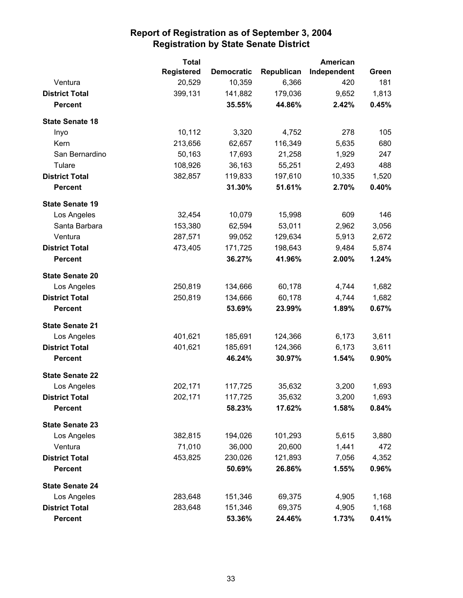|                        | <b>Total</b>      |                   |            | <b>American</b> |       |
|------------------------|-------------------|-------------------|------------|-----------------|-------|
|                        | <b>Registered</b> | <b>Democratic</b> | Republican | Independent     | Green |
| Ventura                | 20,529            | 10,359            | 6,366      | 420             | 181   |
| <b>District Total</b>  | 399,131           | 141,882           | 179,036    | 9,652           | 1,813 |
| <b>Percent</b>         |                   | 35.55%            | 44.86%     | 2.42%           | 0.45% |
| <b>State Senate 18</b> |                   |                   |            |                 |       |
| Inyo                   | 10,112            | 3,320             | 4,752      | 278             | 105   |
| Kern                   | 213,656           | 62,657            | 116,349    | 5,635           | 680   |
| San Bernardino         | 50,163            | 17,693            | 21,258     | 1,929           | 247   |
| Tulare                 | 108,926           | 36,163            | 55,251     | 2,493           | 488   |
| <b>District Total</b>  | 382,857           | 119,833           | 197,610    | 10,335          | 1,520 |
| <b>Percent</b>         |                   | 31.30%            | 51.61%     | 2.70%           | 0.40% |
| <b>State Senate 19</b> |                   |                   |            |                 |       |
| Los Angeles            | 32,454            | 10,079            | 15,998     | 609             | 146   |
| Santa Barbara          | 153,380           | 62,594            | 53,011     | 2,962           | 3,056 |
| Ventura                | 287,571           | 99,052            | 129,634    | 5,913           | 2,672 |
| <b>District Total</b>  | 473,405           | 171,725           | 198,643    | 9,484           | 5,874 |
| <b>Percent</b>         |                   | 36.27%            | 41.96%     | 2.00%           | 1.24% |
| <b>State Senate 20</b> |                   |                   |            |                 |       |
| Los Angeles            | 250,819           | 134,666           | 60,178     | 4,744           | 1,682 |
| <b>District Total</b>  | 250,819           | 134,666           | 60,178     | 4,744           | 1,682 |
| <b>Percent</b>         |                   | 53.69%            | 23.99%     | 1.89%           | 0.67% |
| <b>State Senate 21</b> |                   |                   |            |                 |       |
| Los Angeles            | 401,621           | 185,691           | 124,366    | 6,173           | 3,611 |
| <b>District Total</b>  | 401,621           | 185,691           | 124,366    | 6,173           | 3,611 |
| <b>Percent</b>         |                   | 46.24%            | 30.97%     | 1.54%           | 0.90% |
| <b>State Senate 22</b> |                   |                   |            |                 |       |
| Los Angeles            | 202,171           | 117,725           | 35,632     | 3,200           | 1,693 |
| <b>District Total</b>  | 202,171           | 117,725           | 35,632     | 3,200           | 1,693 |
| <b>Percent</b>         |                   | 58.23%            | 17.62%     | 1.58%           | 0.84% |
| <b>State Senate 23</b> |                   |                   |            |                 |       |
| Los Angeles            | 382,815           | 194,026           | 101,293    | 5,615           | 3,880 |
| Ventura                | 71,010            | 36,000            | 20,600     | 1,441           | 472   |
| <b>District Total</b>  | 453,825           | 230,026           | 121,893    | 7,056           | 4,352 |
| <b>Percent</b>         |                   | 50.69%            | 26.86%     | 1.55%           | 0.96% |
| <b>State Senate 24</b> |                   |                   |            |                 |       |
| Los Angeles            | 283,648           | 151,346           | 69,375     | 4,905           | 1,168 |
| <b>District Total</b>  | 283,648           | 151,346           | 69,375     | 4,905           | 1,168 |
| <b>Percent</b>         |                   | 53.36%            | 24.46%     | 1.73%           | 0.41% |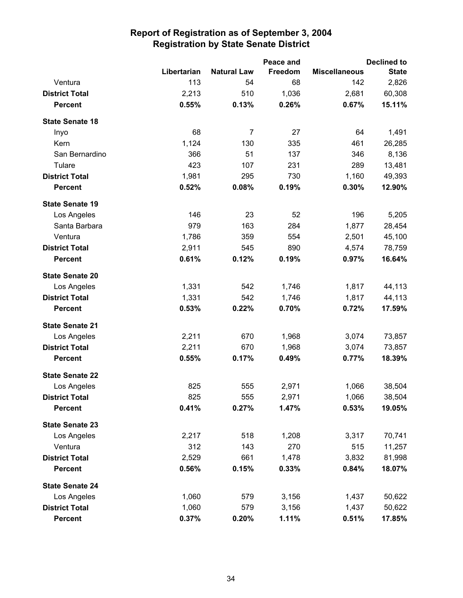|                        |             |                    | Peace and |                      | <b>Declined to</b> |
|------------------------|-------------|--------------------|-----------|----------------------|--------------------|
|                        | Libertarian | <b>Natural Law</b> | Freedom   | <b>Miscellaneous</b> | <b>State</b>       |
| Ventura                | 113         | 54                 | 68        | 142                  | 2,826              |
| <b>District Total</b>  | 2,213       | 510                | 1,036     | 2,681                | 60,308             |
| <b>Percent</b>         | 0.55%       | 0.13%              | 0.26%     | 0.67%                | 15.11%             |
| <b>State Senate 18</b> |             |                    |           |                      |                    |
| Inyo                   | 68          | 7                  | 27        | 64                   | 1,491              |
| Kern                   | 1,124       | 130                | 335       | 461                  | 26,285             |
| San Bernardino         | 366         | 51                 | 137       | 346                  | 8,136              |
| Tulare                 | 423         | 107                | 231       | 289                  | 13,481             |
| <b>District Total</b>  | 1,981       | 295                | 730       | 1,160                | 49,393             |
| <b>Percent</b>         | 0.52%       | 0.08%              | 0.19%     | 0.30%                | 12.90%             |
| <b>State Senate 19</b> |             |                    |           |                      |                    |
| Los Angeles            | 146         | 23                 | 52        | 196                  | 5,205              |
| Santa Barbara          | 979         | 163                | 284       | 1,877                | 28,454             |
| Ventura                | 1,786       | 359                | 554       | 2,501                | 45,100             |
| <b>District Total</b>  | 2,911       | 545                | 890       | 4,574                | 78,759             |
| <b>Percent</b>         | 0.61%       | 0.12%              | 0.19%     | 0.97%                | 16.64%             |
| <b>State Senate 20</b> |             |                    |           |                      |                    |
| Los Angeles            | 1,331       | 542                | 1,746     | 1,817                | 44,113             |
| <b>District Total</b>  | 1,331       | 542                | 1,746     | 1,817                | 44,113             |
| <b>Percent</b>         | 0.53%       | 0.22%              | 0.70%     | 0.72%                | 17.59%             |
| <b>State Senate 21</b> |             |                    |           |                      |                    |
| Los Angeles            | 2,211       | 670                | 1,968     | 3,074                | 73,857             |
| <b>District Total</b>  | 2,211       | 670                | 1,968     | 3,074                | 73,857             |
| <b>Percent</b>         | 0.55%       | 0.17%              | 0.49%     | 0.77%                | 18.39%             |
| <b>State Senate 22</b> |             |                    |           |                      |                    |
| Los Angeles            | 825         | 555                | 2,971     | 1,066                | 38,504             |
| <b>District Total</b>  | 825         | 555                | 2,971     | 1,066                | 38,504             |
| <b>Percent</b>         | 0.41%       | 0.27%              | 1.47%     | 0.53%                | 19.05%             |
| <b>State Senate 23</b> |             |                    |           |                      |                    |
| Los Angeles            | 2,217       | 518                | 1,208     | 3,317                | 70,741             |
| Ventura                | 312         | 143                | 270       | 515                  | 11,257             |
| <b>District Total</b>  | 2,529       | 661                | 1,478     | 3,832                | 81,998             |
| <b>Percent</b>         | 0.56%       | 0.15%              | 0.33%     | 0.84%                | 18.07%             |
| <b>State Senate 24</b> |             |                    |           |                      |                    |
| Los Angeles            | 1,060       | 579                | 3,156     | 1,437                | 50,622             |
| <b>District Total</b>  | 1,060       | 579                | 3,156     | 1,437                | 50,622             |
| <b>Percent</b>         | 0.37%       | 0.20%              | 1.11%     | 0.51%                | 17.85%             |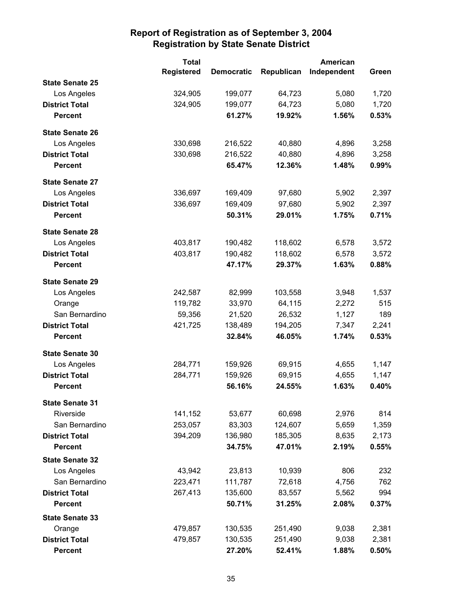|                        | <b>Total</b>      |                   | <b>American</b> |             |       |
|------------------------|-------------------|-------------------|-----------------|-------------|-------|
|                        | <b>Registered</b> | <b>Democratic</b> | Republican      | Independent | Green |
| <b>State Senate 25</b> |                   |                   |                 |             |       |
| Los Angeles            | 324,905           | 199,077           | 64,723          | 5,080       | 1,720 |
| <b>District Total</b>  | 324,905           | 199,077           | 64,723          | 5,080       | 1,720 |
| <b>Percent</b>         |                   | 61.27%            | 19.92%          | 1.56%       | 0.53% |
| <b>State Senate 26</b> |                   |                   |                 |             |       |
| Los Angeles            | 330,698           | 216,522           | 40,880          | 4,896       | 3,258 |
| <b>District Total</b>  | 330,698           | 216,522           | 40,880          | 4,896       | 3,258 |
| <b>Percent</b>         |                   | 65.47%            | 12.36%          | 1.48%       | 0.99% |
| <b>State Senate 27</b> |                   |                   |                 |             |       |
| Los Angeles            | 336,697           | 169,409           | 97,680          | 5,902       | 2,397 |
| <b>District Total</b>  | 336,697           | 169,409           | 97,680          | 5,902       | 2,397 |
| <b>Percent</b>         |                   | 50.31%            | 29.01%          | 1.75%       | 0.71% |
| <b>State Senate 28</b> |                   |                   |                 |             |       |
| Los Angeles            | 403,817           | 190,482           | 118,602         | 6,578       | 3,572 |
| <b>District Total</b>  | 403,817           | 190,482           | 118,602         | 6,578       | 3,572 |
| <b>Percent</b>         |                   | 47.17%            | 29.37%          | 1.63%       | 0.88% |
| <b>State Senate 29</b> |                   |                   |                 |             |       |
| Los Angeles            | 242,587           | 82,999            | 103,558         | 3,948       | 1,537 |
| Orange                 | 119,782           | 33,970            | 64,115          | 2,272       | 515   |
| San Bernardino         | 59,356            | 21,520            | 26,532          | 1,127       | 189   |
| <b>District Total</b>  | 421,725           | 138,489           | 194,205         | 7,347       | 2,241 |
| <b>Percent</b>         |                   | 32.84%            | 46.05%          | 1.74%       | 0.53% |
| <b>State Senate 30</b> |                   |                   |                 |             |       |
| Los Angeles            | 284,771           | 159,926           | 69,915          | 4,655       | 1,147 |
| <b>District Total</b>  | 284,771           | 159,926           | 69,915          | 4,655       | 1,147 |
| <b>Percent</b>         |                   | 56.16%            | 24.55%          | 1.63%       | 0.40% |
| <b>State Senate 31</b> |                   |                   |                 |             |       |
| Riverside              | 141,152           | 53,677            | 60,698          | 2,976       | 814   |
| San Bernardino         | 253,057           | 83,303            | 124,607         | 5,659       | 1,359 |
| <b>District Total</b>  | 394,209           | 136,980           | 185,305         | 8,635       | 2,173 |
| <b>Percent</b>         |                   | 34.75%            | 47.01%          | 2.19%       | 0.55% |
| <b>State Senate 32</b> |                   |                   |                 |             |       |
| Los Angeles            | 43,942            | 23,813            | 10,939          | 806         | 232   |
| San Bernardino         | 223,471           | 111,787           | 72,618          | 4,756       | 762   |
| <b>District Total</b>  | 267,413           | 135,600           | 83,557          | 5,562       | 994   |
| <b>Percent</b>         |                   | 50.71%            | 31.25%          | 2.08%       | 0.37% |
| <b>State Senate 33</b> |                   |                   |                 |             |       |
| Orange                 | 479,857           | 130,535           | 251,490         | 9,038       | 2,381 |
| <b>District Total</b>  | 479,857           | 130,535           | 251,490         | 9,038       | 2,381 |
| <b>Percent</b>         |                   | 27.20%            | 52.41%          | 1.88%       | 0.50% |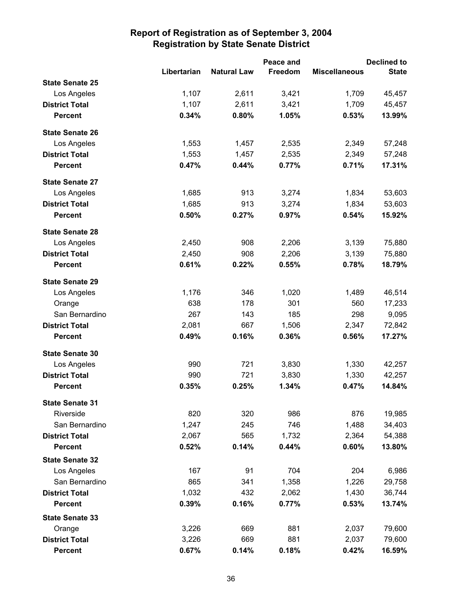|                        |             |                    | Peace and |                      |              |
|------------------------|-------------|--------------------|-----------|----------------------|--------------|
|                        | Libertarian | <b>Natural Law</b> | Freedom   | <b>Miscellaneous</b> | <b>State</b> |
| <b>State Senate 25</b> |             |                    |           |                      |              |
| Los Angeles            | 1,107       | 2,611              | 3,421     | 1,709                | 45,457       |
| <b>District Total</b>  | 1,107       | 2,611              | 3,421     | 1,709                | 45,457       |
| <b>Percent</b>         | 0.34%       | 0.80%              | 1.05%     | 0.53%                | 13.99%       |
| <b>State Senate 26</b> |             |                    |           |                      |              |
| Los Angeles            | 1,553       | 1,457              | 2,535     | 2,349                | 57,248       |
| <b>District Total</b>  | 1,553       | 1,457              | 2,535     | 2,349                | 57,248       |
| <b>Percent</b>         | 0.47%       | 0.44%              | 0.77%     | 0.71%                | 17.31%       |
| <b>State Senate 27</b> |             |                    |           |                      |              |
| Los Angeles            | 1,685       | 913                | 3,274     | 1,834                | 53,603       |
| <b>District Total</b>  | 1,685       | 913                | 3,274     | 1,834                | 53,603       |
| <b>Percent</b>         | 0.50%       | 0.27%              | 0.97%     | 0.54%                | 15.92%       |
| <b>State Senate 28</b> |             |                    |           |                      |              |
| Los Angeles            | 2,450       | 908                | 2,206     | 3,139                | 75,880       |
| <b>District Total</b>  | 2,450       | 908                | 2,206     | 3,139                | 75,880       |
| <b>Percent</b>         | 0.61%       | 0.22%              | 0.55%     | 0.78%                | 18.79%       |
| <b>State Senate 29</b> |             |                    |           |                      |              |
| Los Angeles            | 1,176       | 346                | 1,020     | 1,489                | 46,514       |
| Orange                 | 638         | 178                | 301       | 560                  | 17,233       |
| San Bernardino         | 267         | 143                | 185       | 298                  | 9,095        |
| <b>District Total</b>  | 2,081       | 667                | 1,506     | 2,347                | 72,842       |
| <b>Percent</b>         | 0.49%       | 0.16%              | 0.36%     | 0.56%                | 17.27%       |
| <b>State Senate 30</b> |             |                    |           |                      |              |
| Los Angeles            | 990         | 721                | 3,830     | 1,330                | 42,257       |
| <b>District Total</b>  | 990         | 721                | 3,830     | 1,330                | 42,257       |
| <b>Percent</b>         | 0.35%       | 0.25%              | 1.34%     | 0.47%                | 14.84%       |
| <b>State Senate 31</b> |             |                    |           |                      |              |
| Riverside              | 820         | 320                | 986       | 876                  | 19,985       |
| San Bernardino         | 1,247       | 245                | 746       | 1,488                | 34,403       |
| <b>District Total</b>  | 2,067       | 565                | 1,732     | 2,364                | 54,388       |
| <b>Percent</b>         | 0.52%       | 0.14%              | 0.44%     | 0.60%                | 13.80%       |
| <b>State Senate 32</b> |             |                    |           |                      |              |
| Los Angeles            | 167         | 91                 | 704       | 204                  | 6,986        |
| San Bernardino         | 865         | 341                | 1,358     | 1,226                | 29,758       |
| <b>District Total</b>  | 1,032       | 432                | 2,062     | 1,430                | 36,744       |
| <b>Percent</b>         | 0.39%       | 0.16%              | 0.77%     | 0.53%                | 13.74%       |
| <b>State Senate 33</b> |             |                    |           |                      |              |
| Orange                 | 3,226       | 669                | 881       | 2,037                | 79,600       |
| <b>District Total</b>  | 3,226       | 669                | 881       | 2,037                | 79,600       |
| <b>Percent</b>         | 0.67%       | 0.14%              | 0.18%     | 0.42%                | 16.59%       |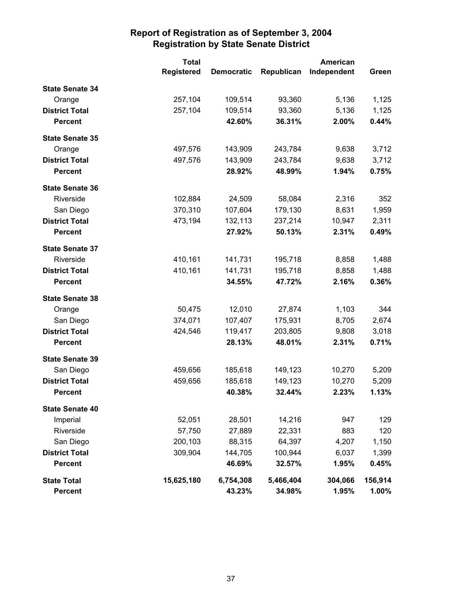|                        | <b>Total</b>      |                   |            |             |         |
|------------------------|-------------------|-------------------|------------|-------------|---------|
|                        | <b>Registered</b> | <b>Democratic</b> | Republican | Independent | Green   |
| <b>State Senate 34</b> |                   |                   |            |             |         |
| Orange                 | 257,104           | 109,514           | 93,360     | 5,136       | 1,125   |
| <b>District Total</b>  | 257,104           | 109,514           | 93,360     | 5,136       | 1,125   |
| <b>Percent</b>         |                   | 42.60%            | 36.31%     | 2.00%       | 0.44%   |
| <b>State Senate 35</b> |                   |                   |            |             |         |
| Orange                 | 497,576           | 143,909           | 243,784    | 9,638       | 3,712   |
| <b>District Total</b>  | 497,576           | 143,909           | 243,784    | 9,638       | 3,712   |
| <b>Percent</b>         |                   | 28.92%            | 48.99%     | 1.94%       | 0.75%   |
| <b>State Senate 36</b> |                   |                   |            |             |         |
| Riverside              | 102,884           | 24,509            | 58,084     | 2,316       | 352     |
| San Diego              | 370,310           | 107,604           | 179,130    | 8,631       | 1,959   |
| <b>District Total</b>  | 473,194           | 132,113           | 237,214    | 10,947      | 2,311   |
| <b>Percent</b>         |                   | 27.92%            | 50.13%     | 2.31%       | 0.49%   |
| <b>State Senate 37</b> |                   |                   |            |             |         |
| Riverside              | 410,161           | 141,731           | 195,718    | 8,858       | 1,488   |
| <b>District Total</b>  | 410,161           | 141,731           | 195,718    | 8,858       | 1,488   |
| <b>Percent</b>         |                   | 34.55%            | 47.72%     | 2.16%       | 0.36%   |
| <b>State Senate 38</b> |                   |                   |            |             |         |
| Orange                 | 50,475            | 12,010            | 27,874     | 1,103       | 344     |
| San Diego              | 374,071           | 107,407           | 175,931    | 8,705       | 2,674   |
| <b>District Total</b>  | 424,546           | 119,417           | 203,805    | 9,808       | 3,018   |
| <b>Percent</b>         |                   | 28.13%            | 48.01%     | 2.31%       | 0.71%   |
| <b>State Senate 39</b> |                   |                   |            |             |         |
| San Diego              | 459,656           | 185,618           | 149,123    | 10,270      | 5,209   |
| <b>District Total</b>  | 459,656           | 185,618           | 149,123    | 10,270      | 5,209   |
| <b>Percent</b>         |                   | 40.38%            | 32.44%     | 2.23%       | 1.13%   |
| <b>State Senate 40</b> |                   |                   |            |             |         |
| Imperial               | 52,051            | 28,501            | 14,216     | 947         | 129     |
| Riverside              | 57,750            | 27,889            | 22,331     | 883         | 120     |
| San Diego              | 200,103           | 88,315            | 64,397     | 4,207       | 1,150   |
| <b>District Total</b>  | 309,904           | 144,705           | 100,944    | 6,037       | 1,399   |
| <b>Percent</b>         |                   | 46.69%            | 32.57%     | 1.95%       | 0.45%   |
| <b>State Total</b>     | 15,625,180        | 6,754,308         | 5,466,404  | 304,066     | 156,914 |
| <b>Percent</b>         |                   | 43.23%            | 34.98%     | 1.95%       | 1.00%   |